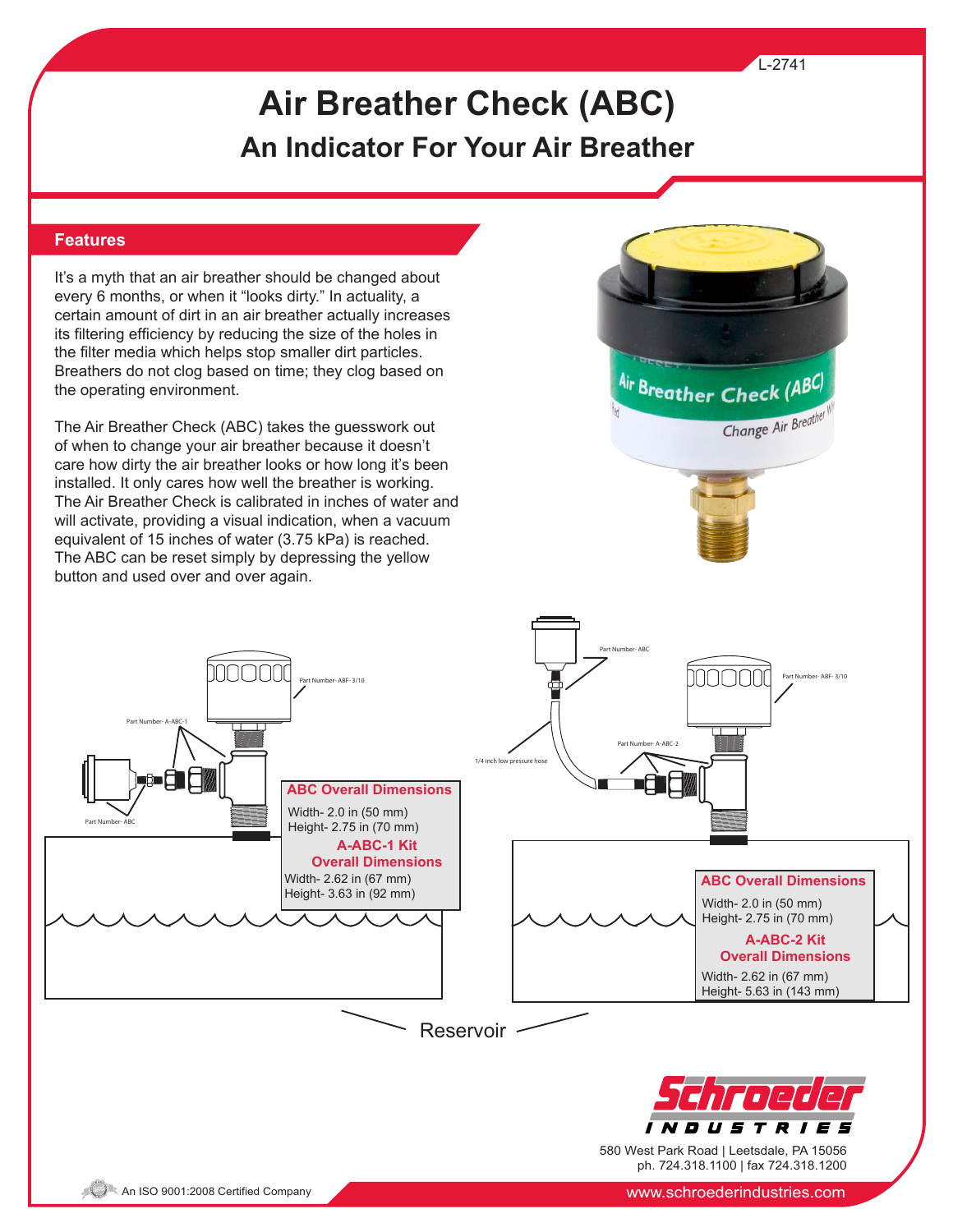#### L-2741

# **Air Breather Check (ABC) An Indicator For Your Air Breather**

#### **Features**

It's a myth that an air breather should be changed about every 6 months, or when it "looks dirty." In actuality, a certain amount of dirt in an air breather actually increases its filtering efficiency by reducing the size of the holes in the filter media which helps stop smaller dirt particles. Breathers do not clog based on time; they clog based on the operating environment.

The Air Breather Check (ABC) takes the guesswork out of when to change your air breather because it doesn't care how dirty the air breather looks or how long it's been installed. It only cares how well the breather is working. The Air Breather Check is calibrated in inches of water and will activate, providing a visual indication, when a vacuum equivalent of 15 inches of water (3.75 kPa) is reached. The ABC can be reset simply by depressing the yellow button and used over and over again.

100000





580 West Park Road | Leetsdale, PA 15056 ph. 724.318.1100 | fax 724.318.1200

Part Number- A-ABC-1

Part Number- ABC